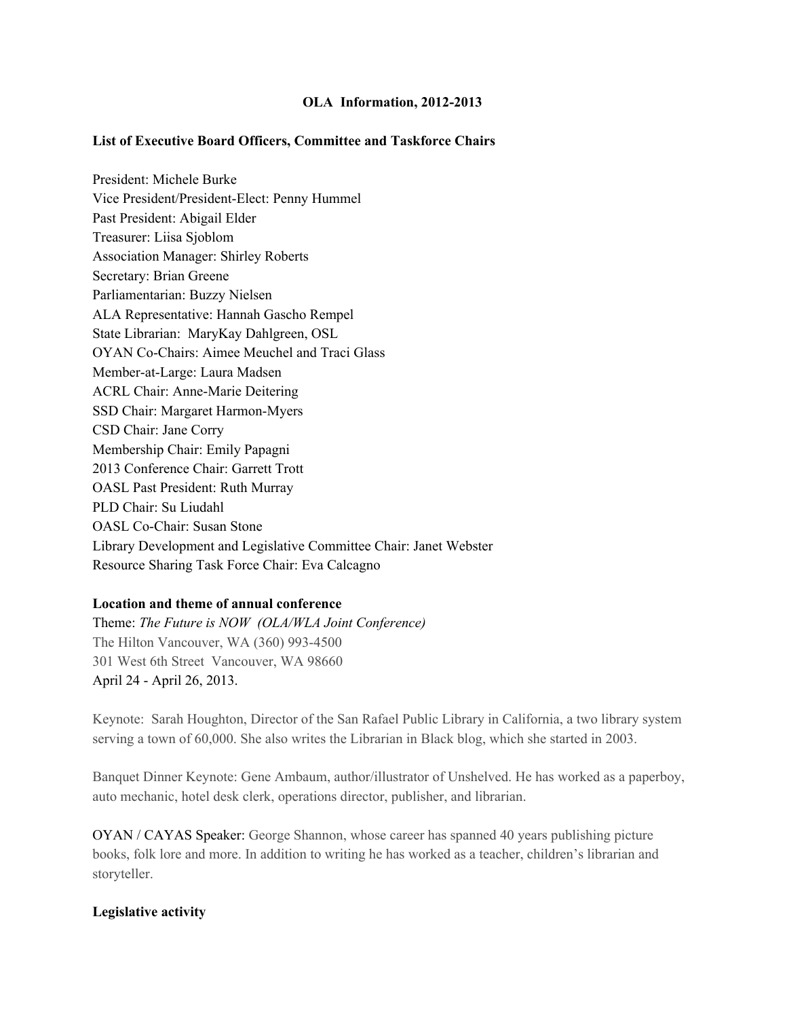### **OLA** Information, 2012-2013

### **List of Executive Board Officers, Committee and Taskforce Chairs**

President: Michele Burke Vice President/President-Elect: Penny Hummel Past President: Abigail Elder Treasurer: Liisa Sjoblom Association Manager: Shirley Roberts Secretary: Brian Greene Parliamentarian: Buzzy Nielsen ALA Representative: Hannah Gascho Rempel State Librarian: MaryKay Dahlgreen, OSL OYAN Co-Chairs: Aimee Meuchel and Traci Glass Member-at-Large: Laura Madsen ACRL Chair: Anne-Marie Deitering SSD Chair: Margaret Harmon-Myers CSD Chair: Jane Corry Membership Chair: Emily Papagni 2013 Conference Chair: Garrett Trott OASL Past President: Ruth Murray PLD Chair: Su Liudahl OASL Co-Chair: Susan Stone Library Development and Legislative Committee Chair: Janet Webster Resource Sharing Task Force Chair: Eva Calcagno

# **Location and theme of annual conference**

Theme: *The Future is NOW (OLA/WLA Joint Conference)* The Hilton Vancouver, WA (360) 993-4500 301 West 6th Street Vancouver, WA 98660 April 24 April 26, 2013.

Keynote: Sarah Houghton, Director of the San Rafael Public Library in California, a two library system serving a town of 60,000. She also writes the Librarian in Black blog, which she started in 2003.

Banquet Dinner Keynote: Gene Ambaum, author/illustrator of Unshelved. He has worked as a paperboy, auto mechanic, hotel desk clerk, operations director, publisher, and librarian.

OYAN / CAYAS Speaker: George Shannon, whose career has spanned 40 years publishing picture books, folk lore and more. In addition to writing he has worked as a teacher, children's librarian and storyteller.

#### **Legislative activity**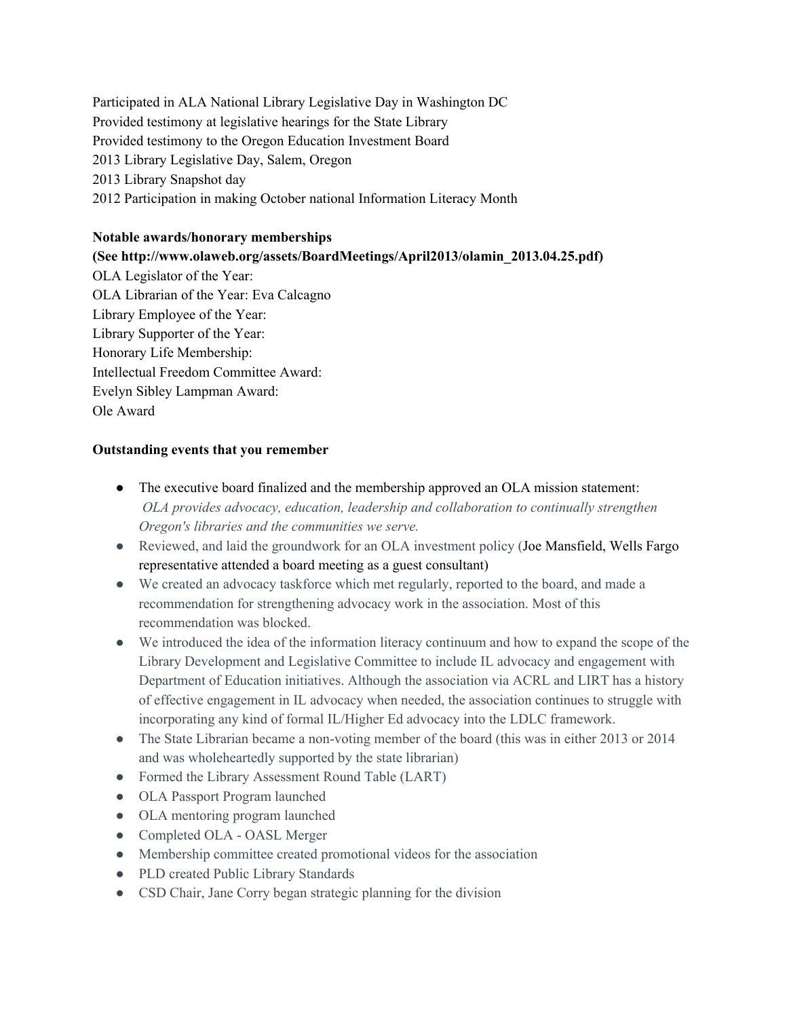Participated in ALA National Library Legislative Day in Washington DC Provided testimony at legislative hearings for the State Library Provided testimony to the Oregon Education Investment Board 2013 Library Legislative Day, Salem, Oregon 2013 Library Snapshot day 2012 Participation in making October national Information Literacy Month

## **Notable awards/honorary memberships**

**(See http://www.olaweb.org/assets/BoardMeetings/April2013/olamin\_2013.04.25.pdf)** OLA Legislator of the Year: OLA Librarian of the Year: Eva Calcagno Library Employee of the Year: Library Supporter of the Year: Honorary Life Membership: Intellectual Freedom Committee Award: Evelyn Sibley Lampman Award: Ole Award

# **Outstanding events that you remember**

- The executive board finalized and the membership approved an OLA mission statement: *OLA provides advocacy, education, leadership and collaboration to continually strengthen Oregon's libraries and the communities we serve.*
- Reviewed, and laid the groundwork for an OLA investment policy (Joe Mansfield, Wells Fargo representative attended a board meeting as a guest consultant)
- We created an advocacy taskforce which met regularly, reported to the board, and made a recommendation for strengthening advocacy work in the association. Most of this recommendation was blocked.
- We introduced the idea of the information literacy continuum and how to expand the scope of the Library Development and Legislative Committee to include IL advocacy and engagement with Department of Education initiatives. Although the association via ACRL and LIRT has a history of effective engagement in IL advocacy when needed, the association continues to struggle with incorporating any kind of formal IL/Higher Ed advocacy into the LDLC framework.
- The State Librarian became a non-voting member of the board (this was in either 2013 or 2014 and was wholeheartedly supported by the state librarian)
- Formed the Library Assessment Round Table (LART)
- OLA Passport Program launched
- OLA mentoring program launched
- Completed OLA OASL Merger
- Membership committee created promotional videos for the association
- PLD created Public Library Standards
- CSD Chair, Jane Corry began strategic planning for the division